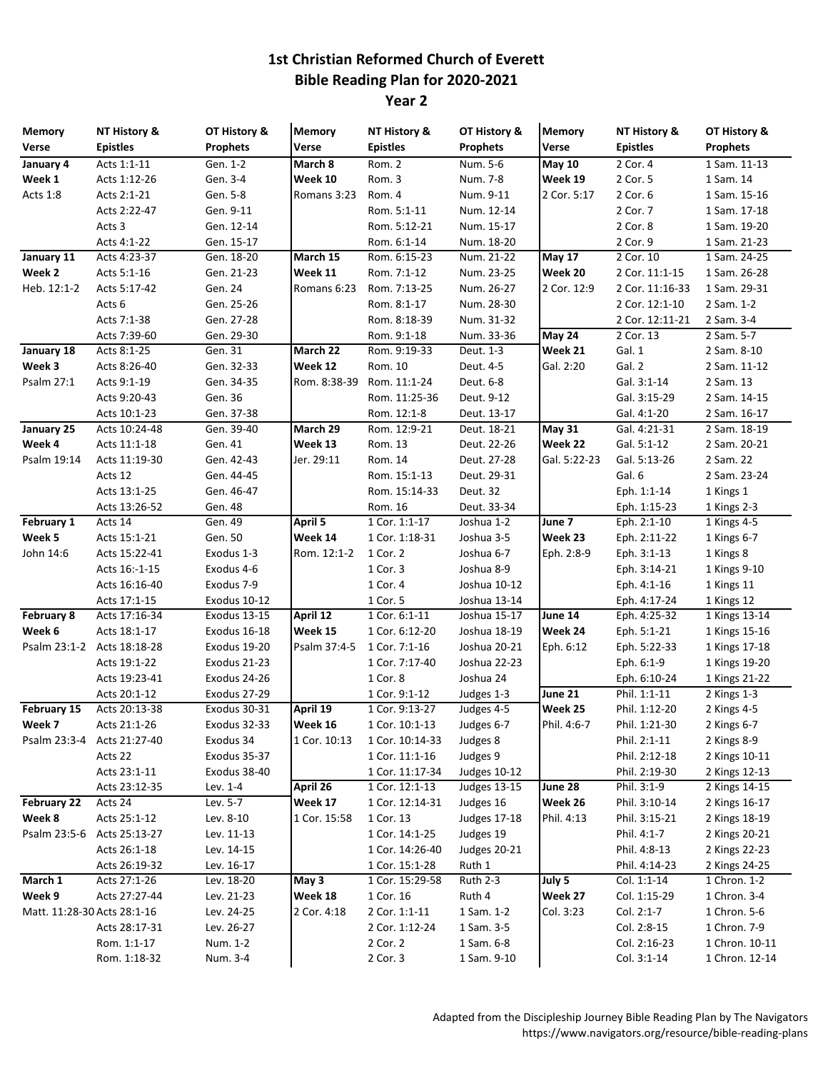## **1st Christian Reformed Church of Everett Bible Reading Plan for 2020-2021**

**Year 2**

| <b>Memory</b>               | NT History &      | OT History &    | <b>Memory</b> | NT History &    | OT History &        | <b>Memory</b> | NT History &    | OT History &    |
|-----------------------------|-------------------|-----------------|---------------|-----------------|---------------------|---------------|-----------------|-----------------|
| Verse                       | <b>Epistles</b>   | <b>Prophets</b> | Verse         | <b>Epistles</b> | <b>Prophets</b>     | <b>Verse</b>  | <b>Epistles</b> | <b>Prophets</b> |
| January 4                   | Acts 1:1-11       | Gen. 1-2        | March 8       | Rom. 2          | Num. 5-6            | <b>May 10</b> | 2 Cor. 4        | 1 Sam. 11-13    |
| Week 1                      | Acts 1:12-26      | Gen. 3-4        | Week 10       | Rom. 3          | Num. 7-8            | Week 19       | 2 Cor. 5        | 1 Sam. 14       |
| Acts 1:8                    | Acts 2:1-21       | Gen. 5-8        | Romans 3:23   | Rom. 4          | Num. 9-11           | 2 Cor. 5:17   | 2 Cor. 6        | 1 Sam. 15-16    |
|                             | Acts 2:22-47      | Gen. 9-11       |               | Rom. 5:1-11     | Num. 12-14          |               | 2 Cor. 7        | 1 Sam. 17-18    |
|                             | Acts 3            | Gen. 12-14      |               | Rom. 5:12-21    | Num. 15-17          |               | 2 Cor. 8        | 1 Sam. 19-20    |
|                             | Acts 4:1-22       | Gen. 15-17      |               | Rom. 6:1-14     | Num. 18-20          |               | 2 Cor. 9        | 1 Sam. 21-23    |
| January 11                  | Acts 4:23-37      | Gen. 18-20      | March 15      | Rom. 6:15-23    | Num. 21-22          | <b>May 17</b> | 2 Cor. 10       | 1 Sam. 24-25    |
| Week 2                      | Acts 5:1-16       | Gen. 21-23      | Week 11       | Rom. 7:1-12     | Num. 23-25          | Week 20       | 2 Cor. 11:1-15  | 1 Sam. 26-28    |
| Heb. 12:1-2                 | Acts 5:17-42      | Gen. 24         | Romans 6:23   | Rom. 7:13-25    | Num. 26-27          | 2 Cor. 12:9   | 2 Cor. 11:16-33 | 1 Sam. 29-31    |
|                             | Acts <sub>6</sub> | Gen. 25-26      |               | Rom. 8:1-17     | Num. 28-30          |               | 2 Cor. 12:1-10  | 2 Sam. 1-2      |
|                             | Acts 7:1-38       | Gen. 27-28      |               | Rom. 8:18-39    | Num. 31-32          |               | 2 Cor. 12:11-21 | 2 Sam. 3-4      |
|                             | Acts 7:39-60      | Gen. 29-30      |               | Rom. 9:1-18     | Num. 33-36          | May 24        | 2 Cor. 13       | 2 Sam. 5-7      |
| January 18                  | Acts 8:1-25       | Gen. 31         | March 22      | Rom. 9:19-33    | Deut. 1-3           | Week 21       | Gal. 1          | 2 Sam. 8-10     |
| Week 3                      | Acts 8:26-40      | Gen. 32-33      | Week 12       | Rom. 10         | Deut. 4-5           | Gal. 2:20     | Gal. 2          | 2 Sam. 11-12    |
| Psalm 27:1                  | Acts 9:1-19       | Gen. 34-35      | Rom. 8:38-39  | Rom. 11:1-24    | Deut. 6-8           |               | Gal. 3:1-14     | 2 Sam. 13       |
|                             | Acts 9:20-43      | Gen. 36         |               | Rom. 11:25-36   | Deut. 9-12          |               | Gal. 3:15-29    | 2 Sam. 14-15    |
|                             | Acts 10:1-23      | Gen. 37-38      |               | Rom. 12:1-8     | Deut. 13-17         |               | Gal. 4:1-20     | 2 Sam. 16-17    |
| January 25                  | Acts 10:24-48     | Gen. 39-40      | March 29      | Rom. 12:9-21    | Deut. 18-21         | <b>May 31</b> | Gal. 4:21-31    | 2 Sam. 18-19    |
| Week 4                      | Acts 11:1-18      | Gen. 41         | Week 13       | Rom. 13         | Deut. 22-26         | Week 22       | Gal. 5:1-12     | 2 Sam. 20-21    |
| Psalm 19:14                 | Acts 11:19-30     | Gen. 42-43      | Jer. 29:11    | Rom. 14         | Deut. 27-28         | Gal. 5:22-23  | Gal. 5:13-26    | 2 Sam. 22       |
|                             | Acts 12           | Gen. 44-45      |               | Rom. 15:1-13    | Deut. 29-31         |               | Gal. 6          | 2 Sam. 23-24    |
|                             | Acts 13:1-25      | Gen. 46-47      |               | Rom. 15:14-33   | Deut. 32            |               | Eph. 1:1-14     | 1 Kings 1       |
|                             | Acts 13:26-52     | Gen. 48         |               | Rom. 16         | Deut. 33-34         |               | Eph. 1:15-23    | 1 Kings 2-3     |
| February 1                  | Acts 14           | Gen. 49         | April 5       | 1 Cor. 1:1-17   | Joshua 1-2          | June 7        | Eph. 2:1-10     | 1 Kings 4-5     |
| Week 5                      | Acts 15:1-21      | Gen. 50         | Week 14       | 1 Cor. 1:18-31  | Joshua 3-5          | Week 23       | Eph. 2:11-22    | 1 Kings 6-7     |
| John 14:6                   | Acts 15:22-41     | Exodus 1-3      | Rom. 12:1-2   | 1 Cor. 2        | Joshua 6-7          | Eph. 2:8-9    | Eph. 3:1-13     | 1 Kings 8       |
|                             | Acts 16:-1-15     | Exodus 4-6      |               | 1 Cor. 3        | Joshua 8-9          |               | Eph. 3:14-21    | 1 Kings 9-10    |
|                             | Acts 16:16-40     | Exodus 7-9      |               | 1 Cor. 4        | Joshua 10-12        |               | Eph. 4:1-16     | 1 Kings 11      |
|                             | Acts 17:1-15      | Exodus 10-12    |               | 1 Cor. 5        | Joshua 13-14        |               | Eph. 4:17-24    | 1 Kings 12      |
| <b>February 8</b>           | Acts 17:16-34     | Exodus 13-15    | April 12      | 1 Cor. 6:1-11   | Joshua 15-17        | June 14       | Eph. 4:25-32    | 1 Kings 13-14   |
| Week 6                      | Acts 18:1-17      | Exodus 16-18    | Week 15       | 1 Cor. 6:12-20  | Joshua 18-19        | Week 24       | Eph. 5:1-21     | 1 Kings 15-16   |
| Psalm 23:1-2                | Acts 18:18-28     | Exodus 19-20    | Psalm 37:4-5  | 1 Cor. 7:1-16   | Joshua 20-21        | Eph. 6:12     | Eph. 5:22-33    | 1 Kings 17-18   |
|                             | Acts 19:1-22      | Exodus 21-23    |               | 1 Cor. 7:17-40  | Joshua 22-23        |               | Eph. 6:1-9      | 1 Kings 19-20   |
|                             | Acts 19:23-41     | Exodus 24-26    |               | 1 Cor. 8        | Joshua 24           |               | Eph. 6:10-24    | 1 Kings 21-22   |
|                             | Acts 20:1-12      | Exodus 27-29    |               | 1 Cor. 9:1-12   | Judges 1-3          | June 21       | Phil. 1:1-11    | 2 Kings 1-3     |
| February 15                 | Acts 20:13-38     | Exodus 30-31    | April 19      | 1 Cor. 9:13-27  | Judges 4-5          | Week 25       | Phil. 1:12-20   | 2 Kings 4-5     |
| Week 7                      | Acts 21:1-26      | Exodus 32-33    | Week 16       | 1 Cor. 10:1-13  | Judges 6-7          | Phil. 4:6-7   | Phil. 1:21-30   | 2 Kings 6-7     |
| Psalm 23:3-4                | Acts 21:27-40     | Exodus 34       | 1 Cor. 10:13  | 1 Cor. 10:14-33 | Judges 8            |               | Phil. 2:1-11    | 2 Kings 8-9     |
|                             | Acts 22           | Exodus 35-37    |               | 1 Cor. 11:1-16  | Judges 9            |               | Phil. 2:12-18   | 2 Kings 10-11   |
|                             | Acts 23:1-11      | Exodus 38-40    |               | 1 Cor. 11:17-34 | <b>Judges 10-12</b> |               | Phil. 2:19-30   | 2 Kings 12-13   |
|                             | Acts 23:12-35     | Lev. 1-4        | April 26      | 1 Cor. 12:1-13  | <b>Judges 13-15</b> | June 28       | Phil. 3:1-9     | 2 Kings 14-15   |
| February 22                 | Acts 24           | Lev. 5-7        | Week 17       | 1 Cor. 12:14-31 | Judges 16           | Week 26       | Phil. 3:10-14   | 2 Kings 16-17   |
| Week 8                      | Acts 25:1-12      | Lev. 8-10       | 1 Cor. 15:58  | 1 Cor. 13       | <b>Judges 17-18</b> | Phil. 4:13    | Phil. 3:15-21   | 2 Kings 18-19   |
| Psalm 23:5-6                | Acts 25:13-27     | Lev. 11-13      |               | 1 Cor. 14:1-25  | Judges 19           |               | Phil. 4:1-7     | 2 Kings 20-21   |
|                             | Acts 26:1-18      | Lev. 14-15      |               | 1 Cor. 14:26-40 | Judges 20-21        |               | Phil. 4:8-13    | 2 Kings 22-23   |
|                             | Acts 26:19-32     | Lev. 16-17      |               | 1 Cor. 15:1-28  | Ruth 1              |               | Phil. 4:14-23   | 2 Kings 24-25   |
| March 1                     | Acts 27:1-26      | Lev. 18-20      | May 3         | 1 Cor. 15:29-58 | Ruth 2-3            | July 5        | Col. 1:1-14     | 1 Chron. 1-2    |
| Week 9                      | Acts 27:27-44     | Lev. 21-23      | Week 18       | 1 Cor. 16       | Ruth 4              | Week 27       | Col. 1:15-29    | 1 Chron. 3-4    |
| Matt. 11:28-30 Acts 28:1-16 |                   | Lev. 24-25      | 2 Cor. 4:18   | 2 Cor. 1:1-11   | 1 Sam. 1-2          | Col. 3:23     | Col. 2:1-7      | 1 Chron. 5-6    |
|                             | Acts 28:17-31     | Lev. 26-27      |               | 2 Cor. 1:12-24  | 1 Sam. 3-5          |               | Col. 2:8-15     | 1 Chron. 7-9    |
|                             | Rom. 1:1-17       | Num. 1-2        |               | 2 Cor. 2        | 1 Sam. 6-8          |               | Col. 2:16-23    | 1 Chron. 10-11  |
|                             | Rom. 1:18-32      | Num. 3-4        |               | 2 Cor. 3        | 1 Sam. 9-10         |               | Col. 3:1-14     | 1 Chron. 12-14  |